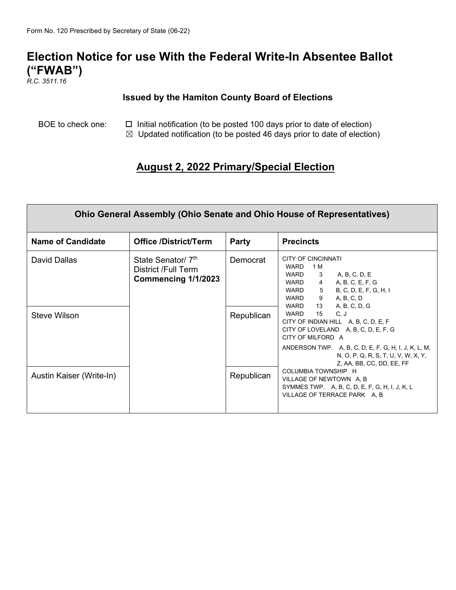## **Election Notice for use With the Federal Write-In Absentee Ballot ("FWAB")**

*R.C. 3511.16*

## **Issued by the Hamiton County Board of Elections**

BOE to check one:  $\Box$  Initial notification (to be posted 100 days prior to date of election)

 $\boxtimes$  Updated notification (to be posted 46 days prior to date of election)

## **August 2, 2022 Primary/Special Election**

| <b>Ohio General Assembly (Ohio Senate and Ohio House of Representatives)</b> |                                                                              |                                      |                                                                                                                                                                                                                                                                                                                                                                                                                                                                                                                                                                                    |
|------------------------------------------------------------------------------|------------------------------------------------------------------------------|--------------------------------------|------------------------------------------------------------------------------------------------------------------------------------------------------------------------------------------------------------------------------------------------------------------------------------------------------------------------------------------------------------------------------------------------------------------------------------------------------------------------------------------------------------------------------------------------------------------------------------|
| <b>Name of Candidate</b>                                                     | <b>Office /District/Term</b>                                                 | <b>Party</b>                         | <b>Precincts</b>                                                                                                                                                                                                                                                                                                                                                                                                                                                                                                                                                                   |
| David Dallas<br>Steve Wilson<br>Austin Kaiser (Write-In)                     | State Senator/ 7 <sup>th</sup><br>District /Full Term<br>Commencing 1/1/2023 | Democrat<br>Republican<br>Republican | <b>CITY OF CINCINNATI</b><br>1 M<br>WARD<br>WARD<br>A, B, C, D, E<br>$\overline{\mathbf{3}}$<br>WARD <sub>4</sub><br>A, B, C, E, F, G<br>WARD 5 B, C, D, E, F, G, H, I<br>A, B, C, D<br>WARD 9<br>WARD 13<br>A, B, C, D, G<br>WARD 15<br>C, J<br>CITY OF INDIAN HILL A, B, C, D, E, F<br>CITY OF LOVELAND A, B, C, D, E, F, G<br>CITY OF MILFORD A<br>ANDERSON TWP. A, B, C, D, E, F, G, H, I, J, K, L, M,<br>N, O, P, Q, R, S, T, U, V, W, X, Y,<br>Z, AA, BB, CC, DD, EE, FF<br>COLUMBIA TOWNSHIP H<br>VILLAGE OF NEWTOWN A, B<br>SYMMES TWP. A, B, C, D, E, F, G, H, I, J, K, L |
|                                                                              |                                                                              |                                      | VILLAGE OF TERRACE PARK A, B                                                                                                                                                                                                                                                                                                                                                                                                                                                                                                                                                       |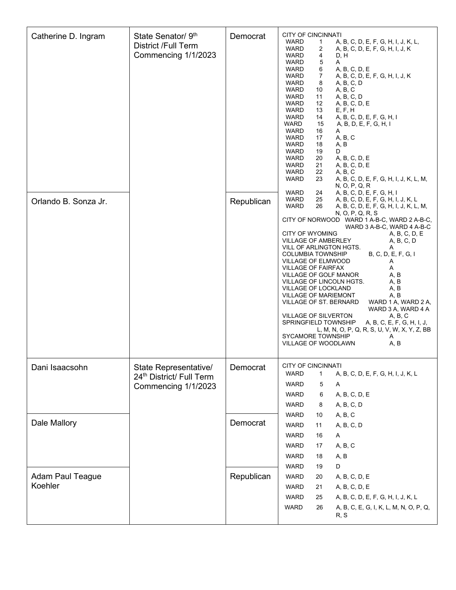| Catherine D. Ingram<br>Orlando B. Sonza Jr. | State Senator/ 9th<br><b>District /Full Term</b><br>Commencing 1/1/2023  | Democrat<br>Republican | <b>CITY OF CINCINNATI</b><br>A, B, C, D, E, F, G, H, I, J, K, L,<br>WARD<br>1<br><b>WARD</b><br>2<br>A, B, C, D, E, F, G, H, I, J, K<br><b>WARD</b><br>4<br>D, H<br>5<br>WARD<br>A<br>6<br>A, B, C, D, E<br>WARD<br><b>WARD</b><br>7<br>A, B, C, D, E, F, G, H, I, J, K<br>WARD<br>8<br>A, B, C, D<br><b>WARD</b><br>A, B, C<br>10<br>WARD<br>A, B, C, D<br>11<br>12<br>WARD<br>A, B, C, D, E<br>E, F, H<br>WARD<br>13<br>WARD<br>14<br>A, B, C, D, E, F, G, H, I<br><b>WARD</b><br>15<br>A, B, D, E, F, G, H, I<br>WARD<br>16<br>A<br>A, B, C<br>WARD<br>17<br><b>WARD</b><br>A, B<br>18<br>WARD<br>19<br>D<br><b>WARD</b><br>20<br>A, B, C, D, E<br>WARD<br>21<br>A, B, C, D, E<br><b>WARD</b><br>22<br>A, B, C<br>WARD<br>23<br>A, B, C, D, E, F, G, H, I, J, K, L, M,<br>N, O, P, Q, R<br><b>WARD</b><br>24<br>A, B, C, D, E, F, G, H, I<br>WARD<br>25<br>A, B, C, D, E, F, G, H, I, J, K, L |
|---------------------------------------------|--------------------------------------------------------------------------|------------------------|--------------------------------------------------------------------------------------------------------------------------------------------------------------------------------------------------------------------------------------------------------------------------------------------------------------------------------------------------------------------------------------------------------------------------------------------------------------------------------------------------------------------------------------------------------------------------------------------------------------------------------------------------------------------------------------------------------------------------------------------------------------------------------------------------------------------------------------------------------------------------------------------------|
|                                             |                                                                          |                        | <b>WARD</b><br>26<br>A, B, C, D, E, F, G, H, I, J, K, L, M,<br>N, O, P, Q, R, S<br>CITY OF NORWOOD WARD 1 A-B-C, WARD 2 A-B-C,<br>WARD 3 A-B-C, WARD 4 A-B-C<br><b>CITY OF WYOMING</b><br>A, B, C, D, E<br>VILLAGE OF AMBERLEY<br>A, B, C, D<br>VILL OF ARLINGTON HGTS.<br>A<br>B, C, D, E, F, G, I<br><b>COLUMBIA TOWNSHIP</b><br>VILLAGE OF ELMWOOD<br>A<br><b>VILLAGE OF FAIRFAX</b><br>Α<br>VILLAGE OF GOLF MANOR<br>A, B<br>VILLAGE OF LINCOLN HGTS.<br>A, B<br>VILLAGE OF LOCKLAND<br>A, B<br><b>VILLAGE OF MARIEMONT</b><br>A, B<br>VILLAGE OF ST. BERNARD<br>WARD 1 A, WARD 2 A,<br>WARD 3 A, WARD 4 A<br>VILLAGE OF SILVERTON<br>A, B, C<br>SPRINGFIELD TOWNSHIP<br>A, B, C, E, F, G, H, I, J,<br>L, M, N, O, P, Q, R, S, U, V, W, X, Y, Z, BB<br>SYCAMORE TOWNSHIP<br>A<br>A, B<br><b>VILLAGE OF WOODLAWN</b>                                                                          |
| Dani Isaacsohn                              | State Representative/<br>24th District/ Full Term<br>Commencing 1/1/2023 | Democrat               | <b>CITY OF CINCINNATI</b><br><b>WARD</b><br>A, B, C, D, E, F, G, H, I, J, K, L<br>1<br>WARD<br>5<br>Α<br>A, B, C, D, E<br><b>WARD</b><br>6<br><b>WARD</b><br>A, B, C, D<br>8                                                                                                                                                                                                                                                                                                                                                                                                                                                                                                                                                                                                                                                                                                                     |
| Dale Mallory                                |                                                                          | Democrat               | A, B, C<br><b>WARD</b><br>10<br>A, B, C, D<br><b>WARD</b><br>11<br><b>WARD</b><br>16<br>A<br>A, B, C<br><b>WARD</b><br>17<br><b>WARD</b><br>A, B<br>18<br><b>WARD</b><br>19<br>D                                                                                                                                                                                                                                                                                                                                                                                                                                                                                                                                                                                                                                                                                                                 |
| <b>Adam Paul Teague</b><br>Koehler          |                                                                          | Republican             | A, B, C, D, E<br><b>WARD</b><br>20<br><b>WARD</b><br>A, B, C, D, E<br>21<br><b>WARD</b><br>25<br>A, B, C, D, E, F, G, H, I, J, K, L<br><b>WARD</b><br>A, B, C, E, G, I, K, L, M, N, O, P, Q,<br>26<br>R, S                                                                                                                                                                                                                                                                                                                                                                                                                                                                                                                                                                                                                                                                                       |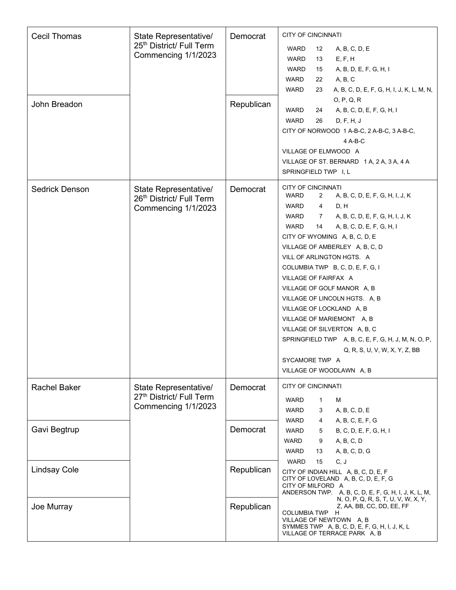| <b>Cecil Thomas</b> | State Representative/    | Democrat   | <b>CITY OF CINCINNATI</b>                                                |
|---------------------|--------------------------|------------|--------------------------------------------------------------------------|
|                     | 25th District/ Full Term |            | WARD<br>12<br>A, B, C, D, E                                              |
|                     | Commencing 1/1/2023      |            | E, F, H<br><b>WARD</b><br>13                                             |
|                     |                          |            | A, B, D, E, F, G, H, I<br><b>WARD</b><br>15                              |
|                     |                          |            | A, B, C<br>WARD<br>22                                                    |
|                     |                          |            | WARD<br>23<br>A, B, C, D, E, F, G, H, I, J, K, L, M, N,                  |
| John Breadon        |                          | Republican | 0, P, Q, R                                                               |
|                     |                          |            | <b>WARD</b><br>A, B, C, D, E, F, G, H, I<br>24                           |
|                     |                          |            | <b>WARD</b><br>26<br>D, F, H, J                                          |
|                     |                          |            | CITY OF NORWOOD 1 A-B-C, 2 A-B-C, 3 A-B-C,                               |
|                     |                          |            | 4 A-B-C                                                                  |
|                     |                          |            | VILLAGE OF ELMWOOD A                                                     |
|                     |                          |            | VILLAGE OF ST. BERNARD 1A, 2A, 3A, 4A                                    |
|                     |                          |            | SPRINGFIELD TWP I, L                                                     |
| Sedrick Denson      | State Representative/    | Democrat   | <b>CITY OF CINCINNATI</b>                                                |
|                     | 26th District/ Full Term |            | WARD<br>$\overline{2}$<br>A, B, C, D, E, F, G, H, I, J, K                |
|                     | Commencing 1/1/2023      |            | WARD<br>D, H<br>4                                                        |
|                     |                          |            | WARD<br>A, B, C, D, E, F, G, H, I, J, K<br>$7\phantom{.}$                |
|                     |                          |            | WARD<br>14<br>A, B, C, D, E, F, G, H, I                                  |
|                     |                          |            | CITY OF WYOMING A, B, C, D, E                                            |
|                     |                          |            | VILLAGE OF AMBERLEY A, B, C, D                                           |
|                     |                          |            | VILL OF ARLINGTON HGTS. A                                                |
|                     |                          |            | COLUMBIA TWP B, C, D, E, F, G, I                                         |
|                     |                          |            | VILLAGE OF FAIRFAX A                                                     |
|                     |                          |            | VILLAGE OF GOLF MANOR A, B                                               |
|                     |                          |            | VILLAGE OF LINCOLN HGTS. A, B                                            |
|                     |                          |            | VILLAGE OF LOCKLAND A, B                                                 |
|                     |                          |            | VILLAGE OF MARIEMONT A, B                                                |
|                     |                          |            | VILLAGE OF SILVERTON A, B, C                                             |
|                     |                          |            | SPRINGFIELD TWP A, B, C, E, F, G, H, J, M, N, O, P,                      |
|                     |                          |            | Q, R, S, U, V, W, X, Y, Z, BB                                            |
|                     |                          |            | SYCAMORE TWP A                                                           |
|                     |                          |            | VILLAGE OF WOODLAWN A, B                                                 |
| <b>Rachel Baker</b> | State Representative/    | Democrat   | <b>CITY OF CINCINNATI</b>                                                |
|                     | 27th District/ Full Term |            | <b>WARD</b><br>1<br>м                                                    |
|                     | Commencing 1/1/2023      |            | A, B, C, D, E<br>WARD<br>3                                               |
|                     |                          |            | WARD<br>A, B, C, E, F, G<br>4                                            |
| Gavi Begtrup        |                          | Democrat   | <b>WARD</b><br>B, C, D, E, F, G, H, I<br>5                               |
|                     |                          |            | WARD<br>A, B, C, D<br>9                                                  |
|                     |                          |            | A, B, C, D, G<br>WARD<br>13                                              |
|                     |                          |            | C, J<br>15<br><b>WARD</b>                                                |
| <b>Lindsay Cole</b> |                          | Republican | CITY OF INDIAN HILL A, B, C, D, E, F                                     |
|                     |                          |            | CITY OF LOVELAND A, B, C, D, E, F, G<br>CITY OF MILFORD A                |
|                     |                          |            | ANDERSON TWP. A, B, C, D, E, F, G, H, I, J, K, L, M,                     |
|                     |                          | Republican | N, O, P, Q, R, S, T, U, V, W, X, Y,<br>Z, AA, BB, CC, DD, EE, FF         |
| Joe Murray          |                          |            | COLUMBIA TWP H                                                           |
|                     |                          |            | VILLAGE OF NEWTOWN A, B<br>SYMMES TWP A, B, C, D, E, F, G, H, I, J, K, L |
|                     |                          |            | VILLAGE OF TERRACE PARK A, B                                             |
|                     |                          |            |                                                                          |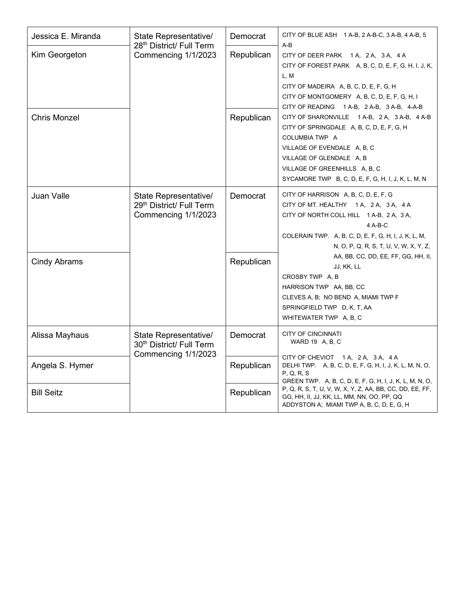| Jessica E. Miranda  | State Representative/<br>28th District/ Full Term                        | Democrat   | CITY OF BLUE ASH 1 A-B, 2 A-B-C, 3 A-B, 4 A-B, 5<br>$A-B$                                                                                                                                                                                                     |
|---------------------|--------------------------------------------------------------------------|------------|---------------------------------------------------------------------------------------------------------------------------------------------------------------------------------------------------------------------------------------------------------------|
| Kim Georgeton       | Commencing 1/1/2023                                                      | Republican | CITY OF DEER PARK 1A, 2A, 3A, 4A<br>CITY OF FOREST PARK A, B, C, D, E, F, G, H, I, J, K,<br>L, M<br>CITY OF MADEIRA A, B, C, D, E, F, G, H<br>CITY OF MONTGOMERY A, B, C, D, E, F, G, H, I<br>CITY OF READING 1 A-B, 2 A-B, 3 A-B, 4-A-B                      |
| <b>Chris Monzel</b> |                                                                          | Republican | CITY OF SHARONVILLE 1 A-B, 2 A, 3 A-B, 4 A-B<br>CITY OF SPRINGDALE A, B, C, D, E, F, G, H<br>COLUMBIA TWP A<br>VILLAGE OF EVENDALE A, B, C<br>VILLAGE OF GLENDALE A, B<br>VILLAGE OF GREENHILLS A, B, C<br>SYCAMORE TWP B, C, D, E, F, G, H, I, J, K, L, M, N |
| Juan Valle          | State Representative/<br>29th District/ Full Term<br>Commencing 1/1/2023 | Democrat   | CITY OF HARRISON A, B, C, D, E, F, G<br>CITY OF MT. HEALTHY 1A, 2A, 3A, 4A<br>CITY OF NORTH COLL HILL 1 A-B, 2 A, 3 A,<br>4 A-B-C<br>COLERAIN TWP. A, B, C, D, E, F, G, H, I, J, K, L, M,<br>N, O, P, Q, R, S, T, U, V, W, X, Y, Z,                           |
| <b>Cindy Abrams</b> |                                                                          | Republican | AA, BB, CC, DD, EE, FF, GG, HH, II,<br>JJ, KK, LL<br>CROSBY TWP A, B<br>HARRISON TWP AA, BB, CC<br>CLEVES A, B; NO BEND A, MIAMI TWP F<br>SPRINGFIELD TWP D, K, T, AA<br>WHITEWATER TWP A, B, C                                                               |
| Alissa Mayhaus      | State Representative/<br>30 <sup>th</sup> District/ Full Term            | Democrat   | <b>CITY OF CINCINNATI</b><br>WARD 19 A, B, C                                                                                                                                                                                                                  |
| Angela S. Hymer     | Commencing 1/1/2023                                                      | Republican | CITY OF CHEVIOT 1A, 2A, 3A, 4A<br>DELHI TWP. A, B, C, D, E, F, G, H, I, J, K, L, M, N, O,<br>P, Q, R, S                                                                                                                                                       |
| <b>Bill Seitz</b>   |                                                                          | Republican | GREEN TWP. A, B, C, D, E, F, G, H, I, J, K, L, M, N, O,<br>P, Q, R, S, T, U, V, W, X, Y, Z, AA, BB, CC, DD, EE, FF,<br>GG, HH, II, JJ, KK, LL, MM, NN, OO, PP, QQ<br>ADDYSTON A; MIAMI TWP A, B, C, D, E, G, H                                                |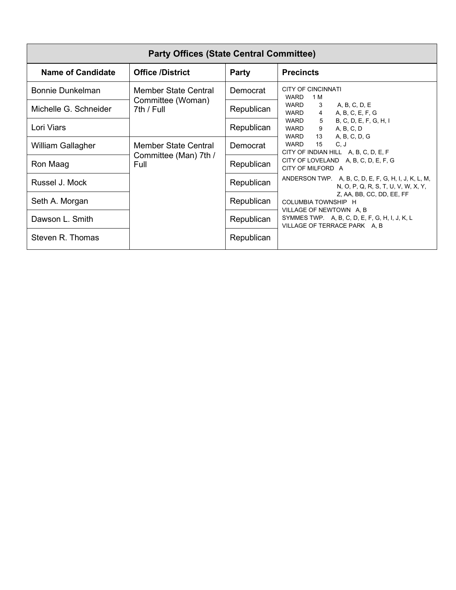| <b>Party Offices (State Central Committee)</b> |                                 |            |                                                                                                                                                                      |
|------------------------------------------------|---------------------------------|------------|----------------------------------------------------------------------------------------------------------------------------------------------------------------------|
| <b>Name of Candidate</b>                       | <b>Office /District</b>         | Party      | <b>Precincts</b>                                                                                                                                                     |
| <b>Bonnie Dunkelman</b>                        | Member State Central            | Democrat   | <b>CITY OF CINCINNATI</b><br>WARD<br>1 M                                                                                                                             |
| Michelle G. Schneider                          | Committee (Woman)<br>7th / Full | Republican | WARD<br>A, B, C, D, E<br>3<br>WARD<br>A, B, C, E, F, G<br>$\overline{4}$                                                                                             |
| Lori Viars                                     |                                 | Republican | $5\overline{)}$<br>B, C, D, E, F, G, H, I<br>WARD<br>WARD<br>9<br>A, B, C, D<br>13<br>WARD                                                                           |
| William Gallagher                              | Member State Central            | Democrat   | A, B, C, D, G<br>15<br>WARD<br>C, J<br>CITY OF INDIAN HILL A, B, C, D, E, F                                                                                          |
| Ron Maag                                       | Committee (Man) 7th /<br>Full   | Republican | CITY OF LOVELAND A, B, C, D, E, F, G<br>CITY OF MILFORD A                                                                                                            |
| Russel J. Mock                                 |                                 | Republican | ANDERSON TWP. A, B, C, D, E, F, G, H, I, J, K, L, M,<br>N, O, P, Q, R, S, T, U, V, W, X, Y,                                                                          |
| Seth A. Morgan                                 |                                 | Republican | Z, AA, BB, CC, DD, EE, FF<br><b>COLUMBIA TOWNSHIP H</b><br>VILLAGE OF NEWTOWN A, B<br>SYMMES TWP. A, B, C, D, E, F, G, H, I, J, K, L<br>VILLAGE OF TERRACE PARK A, B |
| Dawson L. Smith                                |                                 | Republican |                                                                                                                                                                      |
| Steven R. Thomas                               |                                 | Republican |                                                                                                                                                                      |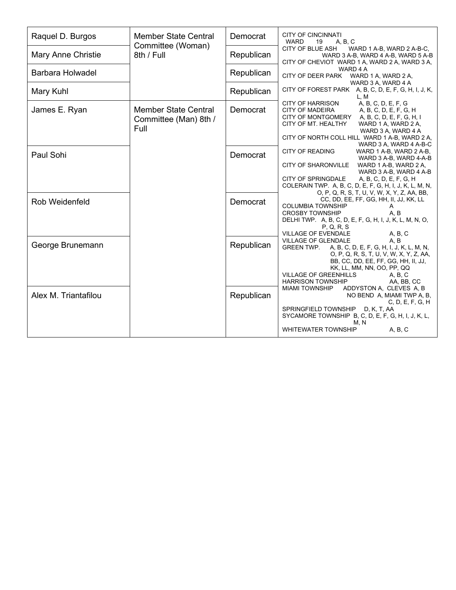| Raquel D. Burgos        | <b>Member State Central</b>                                  | Democrat   | <b>CITY OF CINCINNATI</b><br><b>WARD</b><br>A, B, C<br>19                                                                                                                                                                                                                                                |
|-------------------------|--------------------------------------------------------------|------------|----------------------------------------------------------------------------------------------------------------------------------------------------------------------------------------------------------------------------------------------------------------------------------------------------------|
| Mary Anne Christie      | Committee (Woman)<br>8th / Full                              | Republican | CITY OF BLUE ASH<br>WARD 1 A-B, WARD 2 A-B-C,<br>WARD 3 A-B, WARD 4 A-B, WARD 5 A-B<br>CITY OF CHEVIOT WARD 1 A, WARD 2 A, WARD 3 A,                                                                                                                                                                     |
| <b>Barbara Holwadel</b> |                                                              | Republican | WARD 4 A<br>CITY OF DEER PARK<br>WARD 1 A, WARD 2 A,<br>WARD 3 A, WARD 4 A                                                                                                                                                                                                                               |
| Mary Kuhl               |                                                              | Republican | CITY OF FOREST PARK A, B, C, D, E, F, G, H, I, J, K,<br>L, M                                                                                                                                                                                                                                             |
| James E. Ryan           | <b>Member State Central</b><br>Committee (Man) 8th /<br>Full | Democrat   | A, B, C, D, E, F, G<br><b>CITY OF HARRISON</b><br><b>CITY OF MADEIRA</b><br>A, B, C, D, E, F, G, H<br>CITY OF MONTGOMERY<br>A, B, C, D, E, F, G, H, I<br>CITY OF MT. HEALTHY<br>WARD 1 A, WARD 2 A,<br>WARD 3 A, WARD 4 A<br>CITY OF NORTH COLL HILL WARD 1 A-B, WARD 2 A,                               |
| Paul Sohi               |                                                              | Democrat   | WARD 3 A, WARD 4 A-B-C<br><b>CITY OF READING</b><br>WARD 1 A-B, WARD 2 A-B,<br>WARD 3 A-B, WARD 4-A-B<br><b>CITY OF SHARONVILLE</b><br>WARD 1 A-B, WARD 2 A,<br>WARD 3 A-B, WARD 4 A-B<br><b>CITY OF SPRINGDALE</b><br>A, B, C, D, E, F, G, H<br>COLERAIN TWP. A, B, C, D, E, F, G, H, I, J, K, L, M, N, |
| Rob Weidenfeld          |                                                              | Democrat   | O, P, Q, R, S, T, U, V, W, X, Y, Z, AA, BB,<br>CC, DD, EE, FF, GG, HH, II, JJ, KK, LL<br><b>COLUMBIA TOWNSHIP</b><br>Α<br>A, B<br><b>CROSBY TOWNSHIP</b><br>DELHI TWP. A, B, C, D, E, F, G, H, I, J, K, L, M, N, O,<br>P, Q, R, S<br><b>VILLAGE OF EVENDALE</b><br>A, B, C                               |
| George Brunemann        |                                                              | Republican | VILLAGE OF GLENDALE<br>A, B<br>A, B, C, D, E, F, G, H, I, J, K, L, M, N,<br><b>GREEN TWP.</b><br>O, P, Q, R, S, T, U, V, W, X, Y, Z, AA,<br>BB, CC, DD, EE, FF, GG, HH, II, JJ,<br>KK, LL, MM, NN, OO, PP, QQ<br><b>VILLAGE OF GREENHILLS</b><br>A, B, C<br><b>HARRISON TOWNSHIP</b><br>AA, BB, CC       |
| Alex M. Triantafilou    |                                                              | Republican | <b>MIAMI TOWNSHIP</b><br>ADDYSTON A, CLEVES A, B<br>NO BEND A, MIAMI TWP A, B,<br>C, D, E, F, G, H<br>SPRINGFIELD TOWNSHIP<br>D, K, T, AA<br>SYCAMORE TOWNSHIP B, C, D, E, F, G, H, I, J, K, L,<br>M, N<br><b>WHITEWATER TOWNSHIP</b><br>A, B, C                                                         |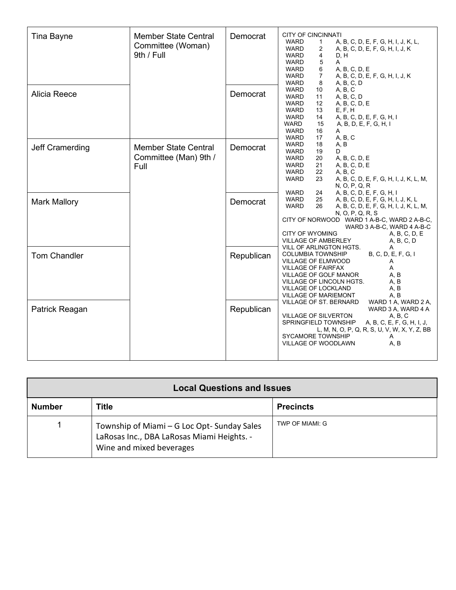| Tina Bayne<br>Alicia Reece | <b>Member State Central</b><br>Committee (Woman)<br>9th / Full | Democrat<br>Democrat | <b>CITY OF CINCINNATI</b><br>WARD<br>A, B, C, D, E, F, G, H, I, J, K, L,<br>1<br><b>WARD</b><br>A, B, C, D, E, F, G, H, I, J, K<br>2<br><b>WARD</b><br>4<br>D, H<br>5<br>WARD<br>A<br><b>WARD</b><br>6<br>A, B, C, D, E<br>$\overline{7}$<br><b>WARD</b><br>A, B, C, D, E, F, G, H, I, J, K<br><b>WARD</b><br>8<br>A, B, C, D<br>A, B, C<br><b>WARD</b><br>10<br>A, B, C, D<br><b>WARD</b><br>11<br>12<br><b>WARD</b><br>A, B, C, D, E<br>E, F, H<br>WARD<br>13<br><b>WARD</b><br>14<br>A, B, C, D, E, F, G, H, I<br>15<br><b>WARD</b><br>A, B, D, E, F, G, H, I |
|----------------------------|----------------------------------------------------------------|----------------------|------------------------------------------------------------------------------------------------------------------------------------------------------------------------------------------------------------------------------------------------------------------------------------------------------------------------------------------------------------------------------------------------------------------------------------------------------------------------------------------------------------------------------------------------------------------|
| Jeff Cramerding            | <b>Member State Central</b><br>Committee (Man) 9th /<br>Full   | Democrat             | <b>WARD</b><br>16<br>A<br>A, B, C<br><b>WARD</b><br>17<br>A, B<br><b>WARD</b><br>18<br><b>WARD</b><br>19<br>D<br><b>WARD</b><br>A, B, C, D, E<br>20<br><b>WARD</b><br>21<br>A, B, C, D, E<br><b>WARD</b><br>22<br>A, B, C<br><b>WARD</b><br>23<br>A, B, C, D, E, F, G, H, I, J, K, L, M,<br>N, O, P, Q, R                                                                                                                                                                                                                                                        |
| <b>Mark Mallory</b>        |                                                                | Democrat             | A, B, C, D, E, F, G, H, I<br>WARD<br>24<br><b>WARD</b><br>25<br>A, B, C, D, E, F, G, H, I, J, K, L<br><b>WARD</b><br>26<br>A, B, C, D, E, F, G, H, I, J, K, L, M,<br>N, O, P, Q, R, S<br>CITY OF NORWOOD WARD 1 A-B-C, WARD 2 A-B-C,<br>WARD 3 A-B-C, WARD 4 A-B-C<br><b>CITY OF WYOMING</b><br>A, B, C, D, E<br><b>VILLAGE OF AMBERLEY</b><br>A, B, C, D                                                                                                                                                                                                        |
| <b>Tom Chandler</b>        |                                                                | Republican           | VILL OF ARLINGTON HGTS.<br>B, C, D, E, F, G, I<br><b>COLUMBIA TOWNSHIP</b><br>VILLAGE OF ELMWOOD<br>A<br><b>VILLAGE OF FAIRFAX</b><br>A<br>A, B<br><b>VILLAGE OF GOLF MANOR</b><br>A, B<br>VILLAGE OF LINCOLN HGTS.<br>VILLAGE OF LOCKLAND<br>A, B<br>A, B<br><b>VILLAGE OF MARIEMONT</b>                                                                                                                                                                                                                                                                        |
| Patrick Reagan             |                                                                | Republican           | VILLAGE OF ST. BERNARD<br>WARD 1 A, WARD 2 A,<br>WARD 3 A, WARD 4 A<br><b>VILLAGE OF SILVERTON</b><br>A, B, C<br>SPRINGFIELD TOWNSHIP<br>A, B, C, E, F, G, H, I, J,<br>L, M, N, O, P, Q, R, S, U, V, W, X, Y, Z, BB<br>SYCAMORE TOWNSHIP<br>Α<br>A, B<br><b>VILLAGE OF WOODLAWN</b>                                                                                                                                                                                                                                                                              |

| <b>Local Questions and Issues</b> |                                                                                                                      |                  |  |
|-----------------------------------|----------------------------------------------------------------------------------------------------------------------|------------------|--|
| <b>Number</b>                     | Title                                                                                                                | <b>Precincts</b> |  |
|                                   | Township of Miami - G Loc Opt-Sunday Sales<br>LaRosas Inc., DBA LaRosas Miami Heights. -<br>Wine and mixed beverages | TWP OF MIAMI: G  |  |